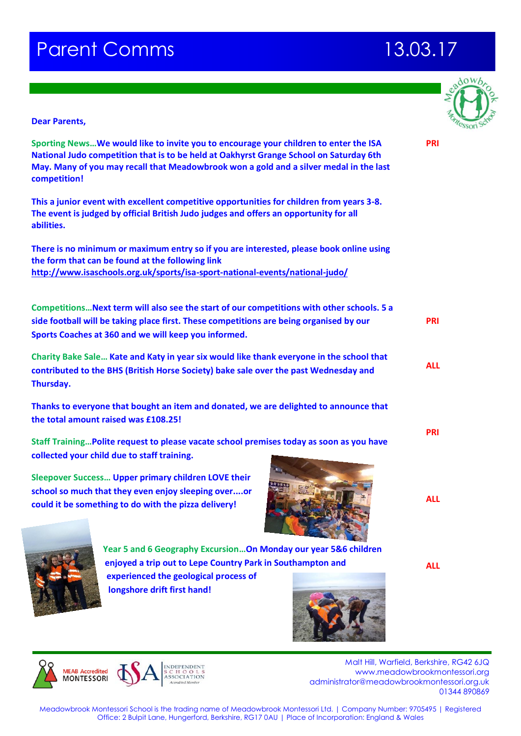# **Parent Comms 13.03.17**



### **Dear Parents,**

**Sporting News…We would like to invite you to encourage your children to enter the ISA National Judo competition that is to be held at Oakhyrst Grange School on Saturday 6th May. Many of you may recall that Meadowbrook won a gold and a silver medal in the last competition!**

**This a junior event with excellent competitive opportunities for children from years 3-8. The event is judged by official British Judo judges and offers an opportunity for all abilities.**

**There is no minimum or maximum entry so if you are interested, please book online using the form that can be found at the following link <http://www.isaschools.org.uk/sports/isa-sport-national-events/national-judo/>**

**Competitions…Next term will also see the start of our competitions with other schools. 5 a side football will be taking place first. These competitions are being organised by our Sports Coaches at 360 and we will keep you informed. Charity Bake Sale… Kate and Katy in year six would like thank everyone in the school that PRI ALL**

**contributed to the BHS (British Horse Society) bake sale over the past Wednesday and Thursday.** 

**Thanks to everyone that bought an item and donated, we are delighted to announce that the total amount raised was £108.25!**

**Staff Training…Polite request to please vacate school premises today as soon as you have collected your child due to staff training.**

**Sleepover Success… Upper primary children LOVE their school so much that they even enjoy sleeping over....or could it be something to do with the pizza delivery!**





**Year 5 and 6 Geography Excursion…On Monday our year 5&6 children enjoyed a trip out to Lepe Country Park in Southampton and experienced the geological process of longshore drift first hand!** 



**MEAR Accredited MONTESSORI** 

 Malt Hill, Warfield, Berkshire, RG42 6JQ www.meadowbrookmontessori.org [administrator@meadowbrookmontessori.org.uk](mailto:administrator@meadowbrookmontessori.org.uk) 01344 890869

Meadowbrook Montessori School is the trading name of Meadowbrook Montessori Ltd. | Company Number: 9705495 | Registered Office: 2 Bulpit Lane, Hungerford, Berkshire, RG17 0AU | Place of Incorporation: England & Wales

**PRI**

**PRI**

**ALL**

**ALL**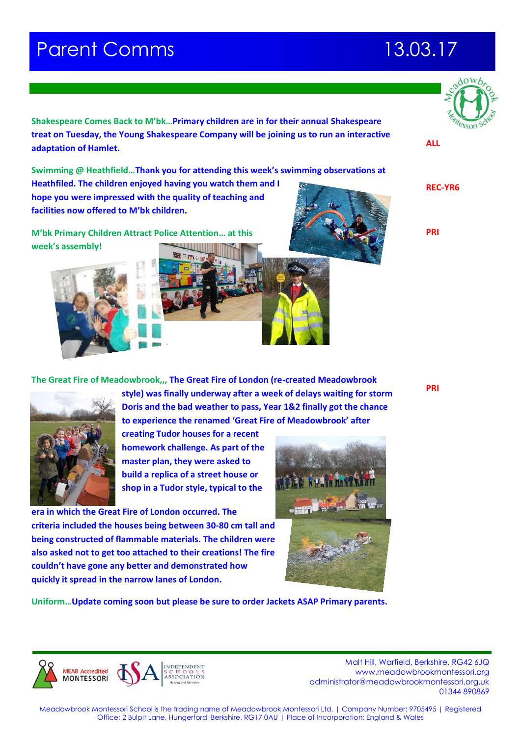# **Parent Comms 13.03.17**

**facilities now offered to M'bk children.**

**adaptation of Hamlet.** 



**ALL**

**REC-YR6**

**PRI**

**PRI**



**Heathfiled. The children enjoyed having you watch them and I hope you were impressed with the quality of teaching and** 

**The Great Fire of Meadowbrook,,, The Great Fire of London (re-created Meadowbrook** 

**Shakespeare Comes Back to M'bk…Primary children are in for their annual Shakespeare treat on Tuesday, the Young Shakespeare Company will be joining us to run an interactive** 

**Swimming @ Heathfield…Thank you for attending this week's swimming observations at** 



**style) was finally underway after a week of delays waiting for storm Doris and the bad weather to pass, Year 1&2 finally got the chance to experience the renamed 'Great Fire of Meadowbrook' after** 

**creating Tudor houses for a recent homework challenge. As part of the master plan, they were asked to build a replica of a street house or shop in a Tudor style, typical to the** 

**era in which the Great Fire of London occurred. The criteria included the houses being between 30-80 cm tall and being constructed of flammable materials. The children were also asked not to get too attached to their creations! The fire couldn't have gone any better and demonstrated how quickly it spread in the narrow lanes of London.**





 Malt Hill, Warfield, Berkshire, RG42 6JQ www.meadowbrookmontessori.org [administrator@meadowbrookmontessori.org.uk](mailto:administrator@meadowbrookmontessori.org.uk) 01344 890869

Meadowbrook Montessori School is the trading name of Meadowbrook Montessori Ltd. | Company Number: 9705495 | Registered Office: 2 Bulpit Lane, Hungerford, Berkshire, RG17 0AU | Place of Incorporation: England & Wales